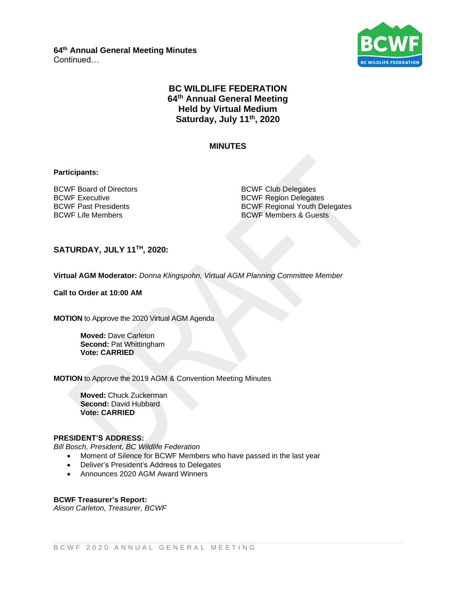**64th Annual General Meeting Minutes Continued** 



# **BC WILDLIFE FEDERATION 64 th Annual General Meeting Held by Virtual Medium Saturday, July 11th, 2020**

# **MINUTES**

#### **Participants:**

BCWF Board of Directors<br>BCWF Executive BCWF Region Delegate

**BCWF Region Delegates** BCWF Past Presidents **BCWF Regional Youth Delegates** BCWF Life Members BCWF Members & Guests

# **SATURDAY, JULY 11TH, 2020:**

**Virtual AGM Moderator:** *Donna Klingspohn, Virtual AGM Planning Committee Member*

**Call to Order at 10:00 AM**

**MOTION** to Approve the 2020 Virtual AGM Agenda

**Moved:** Dave Carleton **Second: Pat Whittingham Vote: CARRIED**

**MOTION** to Approve the 2019 AGM & Convention Meeting Minutes

**Moved:** Chuck Zuckerman **Second: David Hubbard Vote: CARRIED**

#### **PRESIDENT'S ADDRESS:**

*Bill Bosch, President, BC Wildlife Federation* 

- Moment of Silence for BCWF Members who have passed in the last year
- Deliver's President's Address to Delegates
- Announces 2020 AGM Award Winners

**BCWF Treasurer's Report:** *Alison Carleton, Treasurer, BCWF*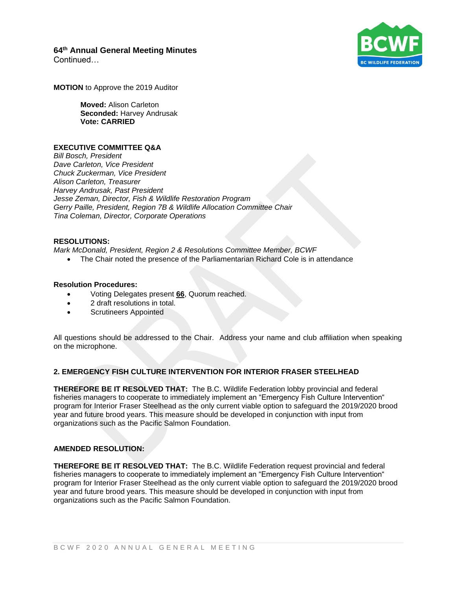# **64th Annual General Meeting Minutes**

Continued…



**MOTION** to Approve the 2019 Auditor

**Moved:** Alison Carleton **Seconded:** Harvey Andrusak **Vote: CARRIED**

# **EXECUTIVE COMMITTEE Q&A**

*Bill Bosch, President Dave Carleton, Vice President Chuck Zuckerman, Vice President Alison Carleton, Treasurer Harvey Andrusak, Past President Jesse Zeman, Director, Fish & Wildlife Restoration Program Gerry Paille, President, Region 7B & Wildlife Allocation Committee Chair Tina Coleman, Director, Corporate Operations*

#### **RESOLUTIONS:**

*Mark McDonald, President, Region 2 & Resolutions Committee Member, BCWF*

• The Chair noted the presence of the Parliamentarian Richard Cole is in attendance

#### **Resolution Procedures:**

- Voting Delegates present **66**, Quorum reached.
- 2 draft resolutions in total.
- Scrutineers Appointed

All questions should be addressed to the Chair. Address your name and club affiliation when speaking on the microphone.

# **2. EMERGENCY FISH CULTURE INTERVENTION FOR INTERIOR FRASER STEELHEAD**

**THEREFORE BE IT RESOLVED THAT:** The B.C. Wildlife Federation lobby provincial and federal fisheries managers to cooperate to immediately implement an "Emergency Fish Culture Intervention" program for Interior Fraser Steelhead as the only current viable option to safeguard the 2019/2020 brood year and future brood years. This measure should be developed in conjunction with input from organizations such as the Pacific Salmon Foundation.

# **AMENDED RESOLUTION:**

**THEREFORE BE IT RESOLVED THAT:** The B.C. Wildlife Federation request provincial and federal fisheries managers to cooperate to immediately implement an "Emergency Fish Culture Intervention" program for Interior Fraser Steelhead as the only current viable option to safeguard the 2019/2020 brood year and future brood years. This measure should be developed in conjunction with input from organizations such as the Pacific Salmon Foundation.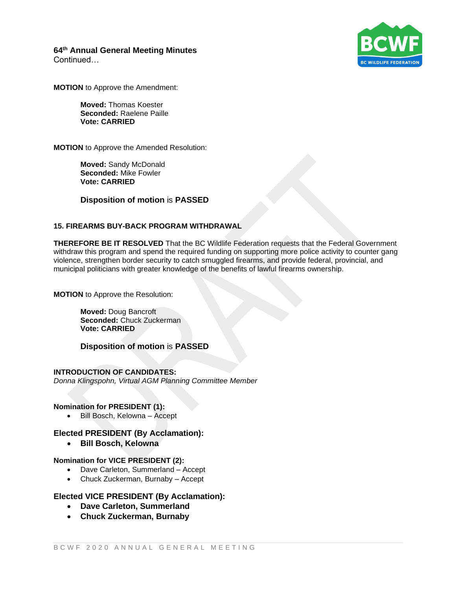#### **64th Annual General Meeting Minutes Continued**



**MOTION** to Approve the Amendment:

**Moved:** Thomas Koester **Seconded:** Raelene Paille **Vote: CARRIED**

**MOTION** to Approve the Amended Resolution:

**Moved:** Sandy McDonald **Seconded:** Mike Fowler **Vote: CARRIED**

# **Disposition of motion** is **PASSED**

#### **15. FIREARMS BUY-BACK PROGRAM WITHDRAWAL**

**THEREFORE BE IT RESOLVED** That the BC Wildlife Federation requests that the Federal Government withdraw this program and spend the required funding on supporting more police activity to counter gang violence, strengthen border security to catch smuggled firearms, and provide federal, provincial, and municipal politicians with greater knowledge of the benefits of lawful firearms ownership.

**MOTION** to Approve the Resolution:

**Moved:** Doug Bancroft **Seconded:** Chuck Zuckerman **Vote: CARRIED**

# **Disposition of motion** is **PASSED**

#### **INTRODUCTION OF CANDIDATES:**

*Donna Klingspohn, Virtual AGM Planning Committee Member*

#### **Nomination for PRESIDENT (1):**

• Bill Bosch, Kelowna – Accept

# **Elected PRESIDENT (By Acclamation):**

• **Bill Bosch, Kelowna**

#### **Nomination for VICE PRESIDENT (2):**

- Dave Carleton, Summerland Accept
- Chuck Zuckerman, Burnaby Accept

# **Elected VICE PRESIDENT (By Acclamation):**

- **Dave Carleton, Summerland**
- **Chuck Zuckerman, Burnaby**